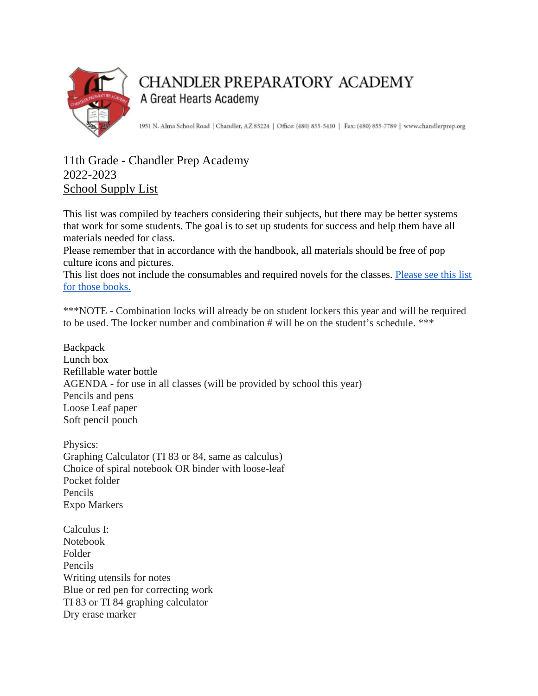

## **CHANDLER PREPARATORY ACADEMY** A Great Hearts Academy

1951 N. Alma School Road | Chandler, AZ 85224 | Office: (480) 855-5410 | Fax: (480) 855-7789 | www.chandlerprep.org

## 11th Grade - Chandler Prep Academy 2022-2023 School Supply List

This list was compiled by teachers considering their subjects, but there may be better systems that work for some students. The goal is to set up students for success and help them have all materials needed for class.

Please remember that in accordance with the handbook, all materials should be free of pop culture icons and pictures.

This list does not include the consumables and required novels for the classes. [Please see this list](https://chandlerprep.greatheartsamerica.org/academics/booksupply-lists/)  [for those books.](https://chandlerprep.greatheartsamerica.org/academics/booksupply-lists/)

\*\*\*NOTE - Combination locks will already be on student lockers this year and will be required to be used. The locker number and combination # will be on the student's schedule. \*\*\*

**Backpack** Lunch box Refillable water bottle AGENDA - for use in all classes (will be provided by school this year) Pencils and pens Loose Leaf paper Soft pencil pouch

Physics: Graphing Calculator (TI 83 or 84, same as calculus) Choice of spiral notebook OR binder with loose-leaf Pocket folder Pencils Expo Markers

Calculus I: Notebook Folder Pencils Writing utensils for notes Blue or red pen for correcting work TI 83 or TI 84 graphing calculator Dry erase marker